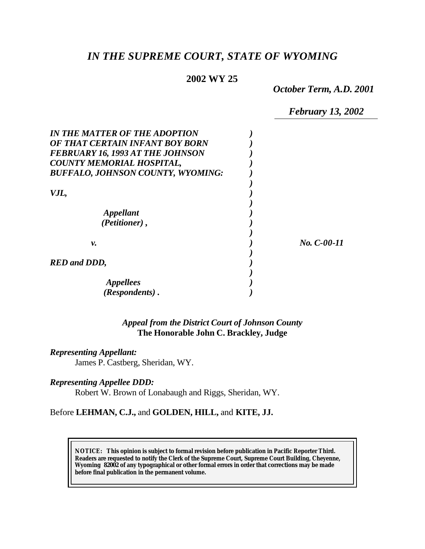# *IN THE SUPREME COURT, STATE OF WYOMING*

## **2002 WY 25**

*October Term, A.D. 2001*

*February 13, 2002*

| <b>IN THE MATTER OF THE ADOPTION</b>     |               |
|------------------------------------------|---------------|
| OF THAT CERTAIN INFANT BOY BORN          |               |
| <b>FEBRUARY 16, 1993 AT THE JOHNSON</b>  |               |
| <b>COUNTY MEMORIAL HOSPITAL,</b>         |               |
| <b>BUFFALO, JOHNSON COUNTY, WYOMING:</b> |               |
|                                          |               |
| VJL,                                     |               |
| Appellant                                |               |
| (Petitioner),                            |               |
| ν.                                       | $No. C-00-11$ |
|                                          |               |
| <b>RED</b> and DDD,                      |               |
|                                          |               |
| <b>Appellees</b>                         |               |
| (Respondents).                           |               |

### *Appeal from the District Court of Johnson County* **The Honorable John C. Brackley, Judge**

#### *Representing Appellant:*

James P. Castberg, Sheridan, WY.

### *Representing Appellee DDD:*

Robert W. Brown of Lonabaugh and Riggs, Sheridan, WY.

### Before **LEHMAN, C.J.,** and **GOLDEN, HILL,** and **KITE, JJ.**

**NOTICE:** *This opinion is subject to formal revision before publication in Pacific Reporter Third. Readers are requested to notify the Clerk of the Supreme Court, Supreme Court Building, Cheyenne, Wyoming 82002 of any typographical or other formal errors in order that corrections may be made before final publication in the permanent volume.*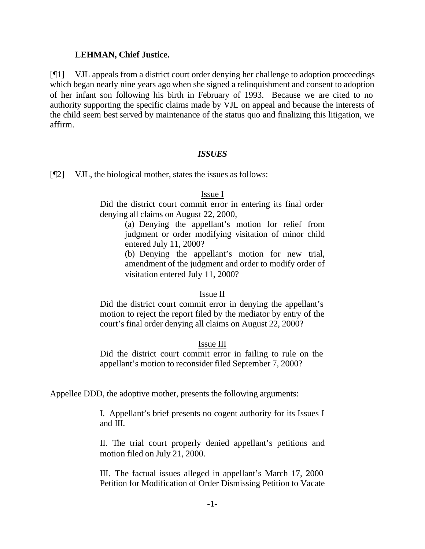### **LEHMAN, Chief Justice.**

[¶1] VJL appeals from a district court order denying her challenge to adoption proceedings which began nearly nine years ago when she signed a relinquishment and consent to adoption of her infant son following his birth in February of 1993. Because we are cited to no authority supporting the specific claims made by VJL on appeal and because the interests of the child seem best served by maintenance of the status quo and finalizing this litigation, we affirm.

### *ISSUES*

[¶2] VJL, the biological mother, states the issues as follows:

### Issue I

Did the district court commit error in entering its final order denying all claims on August 22, 2000,

> (a) Denying the appellant's motion for relief from judgment or order modifying visitation of minor child entered July 11, 2000?

> (b) Denying the appellant's motion for new trial, amendment of the judgment and order to modify order of visitation entered July 11, 2000?

### Issue II

Did the district court commit error in denying the appellant's motion to reject the report filed by the mediator by entry of the court's final order denying all claims on August 22, 2000?

### Issue III

Did the district court commit error in failing to rule on the appellant's motion to reconsider filed September 7, 2000?

Appellee DDD, the adoptive mother, presents the following arguments:

I. Appellant's brief presents no cogent authority for its Issues I and III.

II. The trial court properly denied appellant's petitions and motion filed on July 21, 2000.

III. The factual issues alleged in appellant's March 17, 2000 Petition for Modification of Order Dismissing Petition to Vacate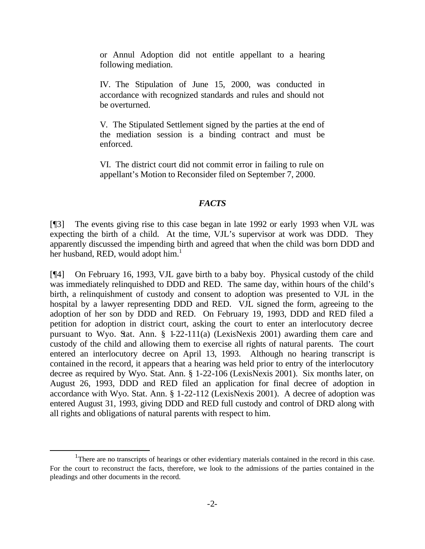or Annul Adoption did not entitle appellant to a hearing following mediation.

IV. The Stipulation of June 15, 2000, was conducted in accordance with recognized standards and rules and should not be overturned.

V. The Stipulated Settlement signed by the parties at the end of the mediation session is a binding contract and must be enforced.

VI. The district court did not commit error in failing to rule on appellant's Motion to Reconsider filed on September 7, 2000.

#### *FACTS*

[¶3] The events giving rise to this case began in late 1992 or early 1993 when VJL was expecting the birth of a child. At the time, VJL's supervisor at work was DDD. They apparently discussed the impending birth and agreed that when the child was born DDD and her husband, RED, would adopt him.<sup>1</sup>

[¶4] On February 16, 1993, VJL gave birth to a baby boy. Physical custody of the child was immediately relinquished to DDD and RED. The same day, within hours of the child's birth, a relinquishment of custody and consent to adoption was presented to VJL in the hospital by a lawyer representing DDD and RED. VJL signed the form, agreeing to the adoption of her son by DDD and RED. On February 19, 1993, DDD and RED filed a petition for adoption in district court, asking the court to enter an interlocutory decree pursuant to Wyo. Stat. Ann.  $\S$  1-22-111(a) (LexisNexis 2001) awarding them care and custody of the child and allowing them to exercise all rights of natural parents. The court entered an interlocutory decree on April 13, 1993. Although no hearing transcript is contained in the record, it appears that a hearing was held prior to entry of the interlocutory decree as required by Wyo. Stat. Ann. § 1-22-106 (LexisNexis 2001). Six months later, on August 26, 1993, DDD and RED filed an application for final decree of adoption in accordance with Wyo. Stat. Ann. § 1-22-112 (LexisNexis 2001). A decree of adoption was entered August 31, 1993, giving DDD and RED full custody and control of DRD along with all rights and obligations of natural parents with respect to him.

l

<sup>&</sup>lt;sup>1</sup>There are no transcripts of hearings or other evidentiary materials contained in the record in this case. For the court to reconstruct the facts, therefore, we look to the admissions of the parties contained in the pleadings and other documents in the record.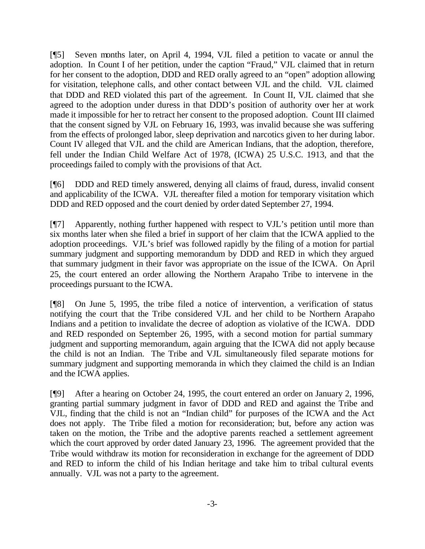[¶5] Seven months later, on April 4, 1994, VJL filed a petition to vacate or annul the adoption. In Count I of her petition, under the caption "Fraud," VJL claimed that in return for her consent to the adoption, DDD and RED orally agreed to an "open" adoption allowing for visitation, telephone calls, and other contact between VJL and the child. VJL claimed that DDD and RED violated this part of the agreement. In Count II, VJL claimed that she agreed to the adoption under duress in that DDD's position of authority over her at work made it impossible for her to retract her consent to the proposed adoption. Count III claimed that the consent signed by VJL on February 16, 1993, was invalid because she was suffering from the effects of prolonged labor, sleep deprivation and narcotics given to her during labor. Count IV alleged that VJL and the child are American Indians, that the adoption, therefore, fell under the Indian Child Welfare Act of 1978, (ICWA) 25 U.S.C. 1913, and that the proceedings failed to comply with the provisions of that Act.

[¶6] DDD and RED timely answered, denying all claims of fraud, duress, invalid consent and applicability of the ICWA. VJL thereafter filed a motion for temporary visitation which DDD and RED opposed and the court denied by order dated September 27, 1994.

[¶7] Apparently, nothing further happened with respect to VJL's petition until more than six months later when she filed a brief in support of her claim that the ICWA applied to the adoption proceedings. VJL's brief was followed rapidly by the filing of a motion for partial summary judgment and supporting memorandum by DDD and RED in which they argued that summary judgment in their favor was appropriate on the issue of the ICWA. On April 25, the court entered an order allowing the Northern Arapaho Tribe to intervene in the proceedings pursuant to the ICWA.

[¶8] On June 5, 1995, the tribe filed a notice of intervention, a verification of status notifying the court that the Tribe considered VJL and her child to be Northern Arapaho Indians and a petition to invalidate the decree of adoption as violative of the ICWA. DDD and RED responded on September 26, 1995, with a second motion for partial summary judgment and supporting memorandum, again arguing that the ICWA did not apply because the child is not an Indian. The Tribe and VJL simultaneously filed separate motions for summary judgment and supporting memoranda in which they claimed the child is an Indian and the ICWA applies.

[¶9] After a hearing on October 24, 1995, the court entered an order on January 2, 1996, granting partial summary judgment in favor of DDD and RED and against the Tribe and VJL, finding that the child is not an "Indian child" for purposes of the ICWA and the Act does not apply. The Tribe filed a motion for reconsideration; but, before any action was taken on the motion, the Tribe and the adoptive parents reached a settlement agreement which the court approved by order dated January 23, 1996. The agreement provided that the Tribe would withdraw its motion for reconsideration in exchange for the agreement of DDD and RED to inform the child of his Indian heritage and take him to tribal cultural events annually. VJL was not a party to the agreement.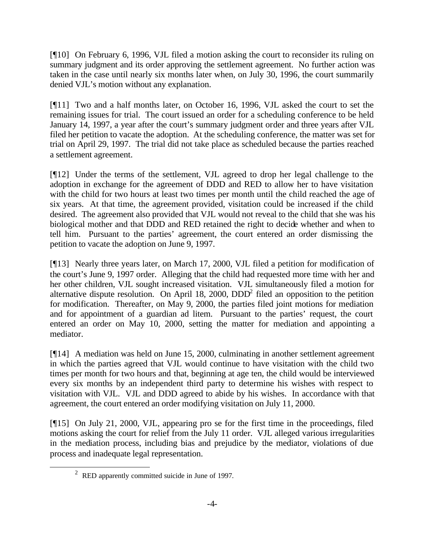[¶10] On February 6, 1996, VJL filed a motion asking the court to reconsider its ruling on summary judgment and its order approving the settlement agreement. No further action was taken in the case until nearly six months later when, on July 30, 1996, the court summarily denied VJL's motion without any explanation.

[¶11] Two and a half months later, on October 16, 1996, VJL asked the court to set the remaining issues for trial. The court issued an order for a scheduling conference to be held January 14, 1997, a year after the court's summary judgment order and three years after VJL filed her petition to vacate the adoption. At the scheduling conference, the matter was set for trial on April 29, 1997. The trial did not take place as scheduled because the parties reached a settlement agreement.

[¶12] Under the terms of the settlement, VJL agreed to drop her legal challenge to the adoption in exchange for the agreement of DDD and RED to allow her to have visitation with the child for two hours at least two times per month until the child reached the age of six years. At that time, the agreement provided, visitation could be increased if the child desired. The agreement also provided that VJL would not reveal to the child that she was his biological mother and that DDD and RED retained the right to decide whether and when to tell him. Pursuant to the parties' agreement, the court entered an order dismissing the petition to vacate the adoption on June 9, 1997.

[¶13] Nearly three years later, on March 17, 2000, VJL filed a petition for modification of the court's June 9, 1997 order. Alleging that the child had requested more time with her and her other children, VJL sought increased visitation. VJL simultaneously filed a motion for alternative dispute resolution. On April 18, 2000,  $DDD<sup>2</sup>$  filed an opposition to the petition for modification. Thereafter, on May 9, 2000, the parties filed joint motions for mediation and for appointment of a guardian ad litem. Pursuant to the parties' request, the court entered an order on May 10, 2000, setting the matter for mediation and appointing a mediator.

[¶14] A mediation was held on June 15, 2000, culminating in another settlement agreement in which the parties agreed that VJL would continue to have visitation with the child two times per month for two hours and that, beginning at age ten, the child would be interviewed every six months by an independent third party to determine his wishes with respect to visitation with VJL. VJL and DDD agreed to abide by his wishes. In accordance with that agreement, the court entered an order modifying visitation on July 11, 2000.

[¶15] On July 21, 2000, VJL, appearing pro se for the first time in the proceedings, filed motions asking the court for relief from the July 11 order. VJL alleged various irregularities in the mediation process, including bias and prejudice by the mediator, violations of due process and inadequate legal representation.

l

 $2^{\circ}$  RED apparently committed suicide in June of 1997.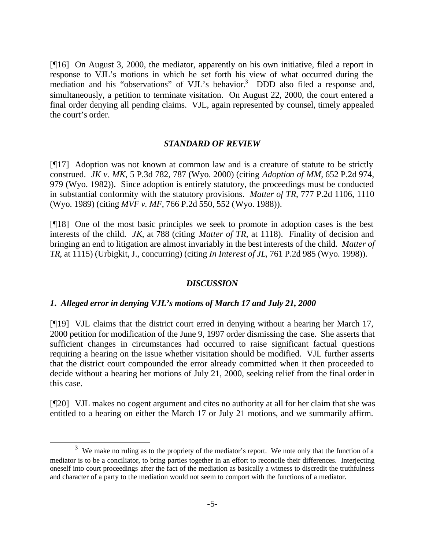[¶16] On August 3, 2000, the mediator, apparently on his own initiative, filed a report in response to VJL's motions in which he set forth his view of what occurred during the mediation and his "observations" of VJL's behavior.<sup>3</sup> DDD also filed a response and, simultaneously, a petition to terminate visitation. On August 22, 2000, the court entered a final order denying all pending claims. VJL, again represented by counsel, timely appealed the court's order.

#### *STANDARD OF REVIEW*

[¶17] Adoption was not known at common law and is a creature of statute to be strictly construed. *JK v. MK*, 5 P.3d 782, 787 (Wyo. 2000) (citing *Adoption of MM*, 652 P.2d 974, 979 (Wyo. 1982)). Since adoption is entirely statutory, the proceedings must be conducted in substantial conformity with the statutory provisions. *Matter of TR*, 777 P.2d 1106, 1110 (Wyo. 1989) (citing *MVF v. MF*, 766 P.2d 550, 552 (Wyo. 1988)).

[¶18] One of the most basic principles we seek to promote in adoption cases is the best interests of the child. *JK*, at 788 (citing *Matter of TR*, at 1118). Finality of decision and bringing an end to litigation are almost invariably in the best interests of the child. *Matter of TR*, at 1115) (Urbigkit, J., concurring) (citing *In Interest of JL*, 761 P.2d 985 (Wyo. 1998)).

#### *DISCUSSION*

### *1. Alleged error in denying VJL's motions of March 17 and July 21, 2000*

l

[¶19] VJL claims that the district court erred in denying without a hearing her March 17, 2000 petition for modification of the June 9, 1997 order dismissing the case. She asserts that sufficient changes in circumstances had occurred to raise significant factual questions requiring a hearing on the issue whether visitation should be modified. VJL further asserts that the district court compounded the error already committed when it then proceeded to decide without a hearing her motions of July 21, 2000, seeking relief from the final order in this case.

[¶20] VJL makes no cogent argument and cites no authority at all for her claim that she was entitled to a hearing on either the March 17 or July 21 motions, and we summarily affirm.

 $3$  We make no ruling as to the propriety of the mediator's report. We note only that the function of a mediator is to be a conciliator, to bring parties together in an effort to reconcile their differences. Interjecting oneself into court proceedings after the fact of the mediation as basically a witness to discredit the truthfulness and character of a party to the mediation would not seem to comport with the functions of a mediator.